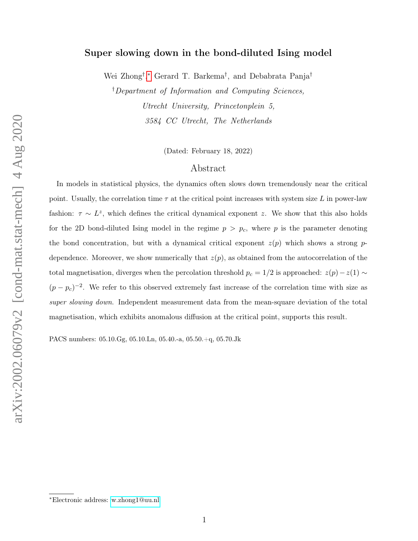# Super slowing down in the bond-diluted Ising model

Wei Zhong† , [∗](#page-0-0) Gerard T. Barkema† , and Debabrata Panja†

†Department of Information and Computing Sciences, Utrecht University, Princetonplein 5, 3584 CC Utrecht, The Netherlands

(Dated: February 18, 2022)

# Abstract

In models in statistical physics, the dynamics often slows down tremendously near the critical point. Usually, the correlation time  $\tau$  at the critical point increases with system size L in power-law fashion:  $\tau \sim L^z$ , which defines the critical dynamical exponent z. We show that this also holds for the 2D bond-diluted Ising model in the regime  $p > p_c$ , where p is the parameter denoting the bond concentration, but with a dynamical critical exponent  $z(p)$  which shows a strong pdependence. Moreover, we show numerically that  $z(p)$ , as obtained from the autocorrelation of the total magnetisation, diverges when the percolation threshold  $p_c = 1/2$  is approached:  $z(p) - z(1) \sim$  $(p - p_c)^{-2}$ . We refer to this observed extremely fast increase of the correlation time with size as super slowing down. Independent measurement data from the mean-square deviation of the total magnetisation, which exhibits anomalous diffusion at the critical point, supports this result.

PACS numbers: 05.10.Gg, 05.10.Ln, 05.40.-a, 05.50.+q, 05.70.Jk

<span id="page-0-0"></span><sup>∗</sup>Electronic address: [w.zhong1@uu.nl](mailto:w.zhong1@uu.nl)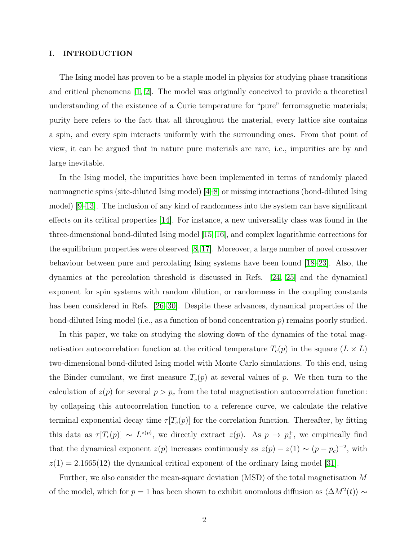#### I. INTRODUCTION

The Ising model has proven to be a staple model in physics for studying phase transitions and critical phenomena [\[1,](#page-12-0) [2\]](#page-12-1). The model was originally conceived to provide a theoretical understanding of the existence of a Curie temperature for "pure" ferromagnetic materials; purity here refers to the fact that all throughout the material, every lattice site contains a spin, and every spin interacts uniformly with the surrounding ones. From that point of view, it can be argued that in nature pure materials are rare, i.e., impurities are by and large inevitable.

In the Ising model, the impurities have been implemented in terms of randomly placed nonmagnetic spins (site-diluted Ising model) [\[4–](#page-13-0)[8\]](#page-13-1) or missing interactions (bond-diluted Ising model) [\[9–](#page-13-2)[13\]](#page-13-3). The inclusion of any kind of randomness into the system can have significant effects on its critical properties [\[14\]](#page-13-4). For instance, a new universality class was found in the three-dimensional bond-diluted Ising model [\[15,](#page-13-5) [16\]](#page-13-6), and complex logarithmic corrections for the equilibrium properties were observed [\[8,](#page-13-1) [17\]](#page-13-7). Moreover, a large number of novel crossover behaviour between pure and percolating Ising systems have been found [\[18–](#page-13-8)[23\]](#page-13-9). Also, the dynamics at the percolation threshold is discussed in Refs. [\[24,](#page-13-10) [25\]](#page-13-11) and the dynamical exponent for spin systems with random dilution, or randomness in the coupling constants has been considered in Refs. [\[26–](#page-13-12)[30\]](#page-13-13). Despite these advances, dynamical properties of the bond-diluted Ising model (i.e., as a function of bond concentration p) remains poorly studied.

In this paper, we take on studying the slowing down of the dynamics of the total magnetisation autocorrelation function at the critical temperature  $T_c(p)$  in the square  $(L \times L)$ two-dimensional bond-diluted Ising model with Monte Carlo simulations. To this end, using the Binder cumulant, we first measure  $T_c(p)$  at several values of p. We then turn to the calculation of  $z(p)$  for several  $p > p_c$  from the total magnetisation autocorrelation function: by collapsing this autocorrelation function to a reference curve, we calculate the relative terminal exponential decay time  $\tau[T_c(p)]$  for the correlation function. Thereafter, by fitting this data as  $\tau[T_c(p)] \sim L^{z(p)}$ , we directly extract  $z(p)$ . As  $p \to p_c^+$ , we empirically find that the dynamical exponent  $z(p)$  increases continuously as  $z(p) - z(1) \sim (p - p_c)^{-2}$ , with  $z(1) = 2.1665(12)$  the dynamical critical exponent of the ordinary Ising model [\[31\]](#page-13-14).

Further, we also consider the mean-square deviation (MSD) of the total magnetisation M of the model, which for  $p = 1$  has been shown to exhibit anomalous diffusion as  $\langle \Delta M^2(t) \rangle \sim$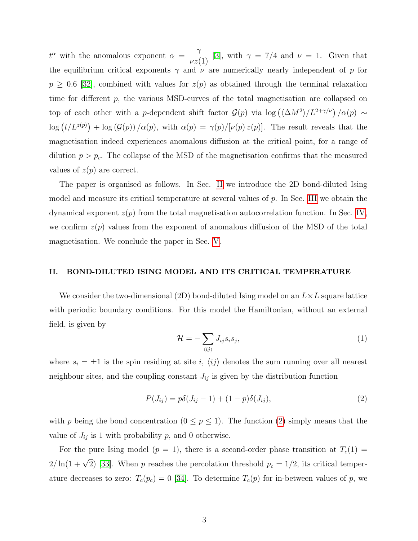$t^{\alpha}$  with the anomalous exponent  $\alpha = -\frac{\gamma}{\alpha}$  $\frac{1}{\nu z(1)}$  [\[3\]](#page-12-2), with  $\gamma = 7/4$  and  $\nu = 1$ . Given that the equilibrium critical exponents  $\gamma$  and  $\nu$  are numerically nearly independent of p for  $p \geq 0.6$  [\[32\]](#page-13-15), combined with values for  $z(p)$  as obtained through the terminal relaxation time for different p, the various MSD-curves of the total magnetisation are collapsed on top of each other with a p-dependent shift factor  $\mathcal{G}(p)$  via  $\log (\langle \Delta M^2 \rangle / L^{2+\gamma/\nu}) / \alpha(p) \sim$  $\log (t/L^{z(p)}) + \log (G(p))/\alpha(p)$ , with  $\alpha(p) = \gamma(p)/[\nu(p) z(p)]$ . The result reveals that the magnetisation indeed experiences anomalous diffusion at the critical point, for a range of dilution  $p > p_c$ . The collapse of the MSD of the magnetisation confirms that the measured values of  $z(p)$  are correct.

The paper is organised as follows. In Sec. [II](#page-2-0) we introduce the 2D bond-diluted Ising model and measure its critical temperature at several values of p. In Sec. [III](#page-4-0) we obtain the dynamical exponent  $z(p)$  from the total magnetisation autocorrelation function. In Sec. [IV,](#page-6-0) we confirm  $z(p)$  values from the exponent of anomalous diffusion of the MSD of the total magnetisation. We conclude the paper in Sec. [V.](#page-8-0)

## <span id="page-2-0"></span>II. BOND-DILUTED ISING MODEL AND ITS CRITICAL TEMPERATURE

We consider the two-dimensional (2D) bond-diluted Ising model on an  $L \times L$  square lattice with periodic boundary conditions. For this model the Hamiltonian, without an external field, is given by

$$
\mathcal{H} = -\sum_{\langle ij \rangle} J_{ij} s_i s_j,\tag{1}
$$

where  $s_i = \pm 1$  is the spin residing at site i,  $\langle ij \rangle$  denotes the sum running over all nearest neighbour sites, and the coupling constant  $J_{ij}$  is given by the distribution function

<span id="page-2-1"></span>
$$
P(J_{ij}) = p\delta(J_{ij} - 1) + (1 - p)\delta(J_{ij}),
$$
\n(2)

with p being the bond concentration  $(0 \le p \le 1)$ . The function [\(2\)](#page-2-1) simply means that the value of  $J_{ij}$  is 1 with probability p, and 0 otherwise.

For the pure Ising model  $(p = 1)$ , there is a second-order phase transition at  $T_c(1) =$  $2/\ln(1+\sqrt{2})$  [\[33\]](#page-13-16). When p reaches the percolation threshold  $p_c = 1/2$ , its critical temperature decreases to zero:  $T_c(p_c) = 0$  [\[34\]](#page-14-0). To determine  $T_c(p)$  for in-between values of p, we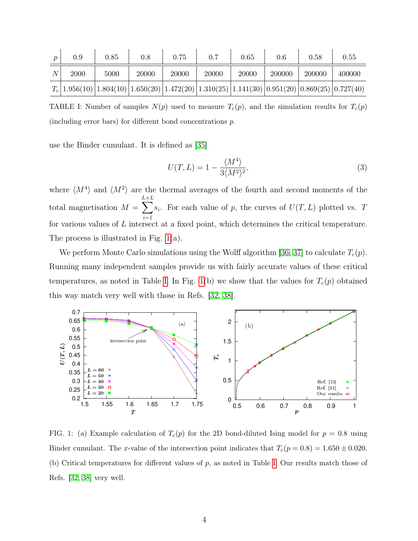| 0.9  | 0.85                                                                                                      | $0.8\,$ | 0.75  | 0.7   | 0.65  | 0.6    | 0.58   | 0.55   |
|------|-----------------------------------------------------------------------------------------------------------|---------|-------|-------|-------|--------|--------|--------|
| 2000 | 5000                                                                                                      | 20000   | 20000 | 20000 | 20000 | 200000 | 200000 | 400000 |
|      | $T_c$ [1.956(10) [1.804(10) [1.650(20) [1.472(20) [1.310(25) [1.141(30) [0.951(20) [0.869(25) [0.727(40)] |         |       |       |       |        |        |        |

<span id="page-3-1"></span>TABLE I: Number of samples  $N(p)$  used to measure  $T_c(p)$ , and the simulation results for  $T_c(p)$ (including error bars) for different bond concentrations p.

use the Binder cumulant. It is defined as [\[35\]](#page-14-1)

$$
U(T,L) = 1 - \frac{\langle M^4 \rangle}{3 \langle M^2 \rangle^2},\tag{3}
$$

where  $\langle M^4 \rangle$  and  $\langle M^2 \rangle$  are the thermal averages of the fourth and second moments of the total magnetisation  $M =$  $\sum_{i=1}^{L}$  $i=1$  $s_i$ . For each value of p, the curves of  $U(T, L)$  plotted vs. T for various values of L intersect at a fixed point, which determines the critical temperature. The process is illustrated in Fig. [1\(](#page-3-0)a).

We perform Monte Carlo simulations using the Wolff algorithm [\[36,](#page-14-2) [37\]](#page-14-3) to calculate  $T_c(p)$ . Running many independent samples provide us with fairly accurate values of these critical temperatures, as noted in Table [I.](#page-3-1) In Fig. [1\(](#page-3-0)b) we show that the values for  $T_c(p)$  obtained this way match very well with those in Refs. [\[32,](#page-13-15) [38\]](#page-14-4).



<span id="page-3-0"></span>FIG. 1: (a) Example calculation of  $T_c(p)$  for the 2D bond-diluted Ising model for  $p = 0.8$  using Binder cumulant. The x-value of the intersection point indicates that  $T_c(p = 0.8) = 1.650 \pm 0.020$ . (b) Critical temperatures for different values of  $p$ , as noted in Table [I.](#page-3-1) Our results match those of Refs. [\[32,](#page-13-15) [38\]](#page-14-4) very well.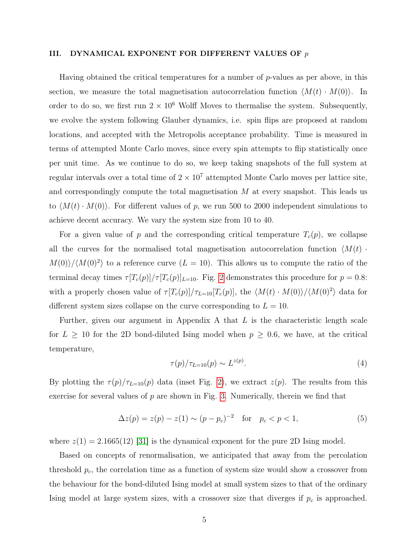## <span id="page-4-0"></span>III. DYNAMICAL EXPONENT FOR DIFFERENT VALUES OF  $p$

Having obtained the critical temperatures for a number of  $p$ -values as per above, in this section, we measure the total magnetisation autocorrelation function  $\langle M(t) \cdot M(0) \rangle$ . In order to do so, we first run  $2 \times 10^6$  Wolff Moves to thermalise the system. Subsequently, we evolve the system following Glauber dynamics, i.e. spin flips are proposed at random locations, and accepted with the Metropolis acceptance probability. Time is measured in terms of attempted Monte Carlo moves, since every spin attempts to flip statistically once per unit time. As we continue to do so, we keep taking snapshots of the full system at regular intervals over a total time of  $2 \times 10^7$  attempted Monte Carlo moves per lattice site, and correspondingly compute the total magnetisation  $M$  at every snapshot. This leads us to  $\langle M(t) \cdot M(0) \rangle$ . For different values of p, we run 500 to 2000 independent simulations to achieve decent accuracy. We vary the system size from 10 to 40.

For a given value of p and the corresponding critical temperature  $T_c(p)$ , we collapse all the curves for the normalised total magnetisation autocorrelation function  $\langle M(t) \rangle$  $M(0)/\langle M(0)^2 \rangle$  to a reference curve  $(L = 10)$ . This allows us to compute the ratio of the terminal decay times  $\tau[T_c(p)]/\tau[T_c(p)]_{L=10}$ . Fig. [2](#page-5-0) demonstrates this procedure for  $p = 0.8$ : with a properly chosen value of  $\tau[T_c(p)]/\tau_{L=10}[T_c(p)]$ , the  $\langle M(t) \cdot M(0) \rangle / \langle M(0)^2 \rangle$  data for different system sizes collapse on the curve corresponding to  $L = 10$ .

Further, given our argument in Appendix A that  $L$  is the characteristic length scale for  $L \geq 10$  for the 2D bond-diluted Ising model when  $p \geq 0.6$ , we have, at the critical temperature,

$$
\tau(p)/\tau_{L=10}(p) \sim L^{z(p)}.\tag{4}
$$

By plotting the  $\tau(p)/\tau_{L=10}(p)$  data (inset Fig. [2\)](#page-5-0), we extract  $z(p)$ . The results from this exercise for several values of  $p$  are shown in Fig. [3.](#page-5-1) Numerically, therein we find that

<span id="page-4-1"></span>
$$
\Delta z(p) = z(p) - z(1) \sim (p - p_c)^{-2} \quad \text{for} \quad p_c < p < 1,\tag{5}
$$

where  $z(1) = 2.1665(12)$  [\[31\]](#page-13-14) is the dynamical exponent for the pure 2D Ising model.

Based on concepts of renormalisation, we anticipated that away from the percolation threshold  $p_c$ , the correlation time as a function of system size would show a crossover from the behaviour for the bond-diluted Ising model at small system sizes to that of the ordinary Ising model at large system sizes, with a crossover size that diverges if  $p_c$  is approached.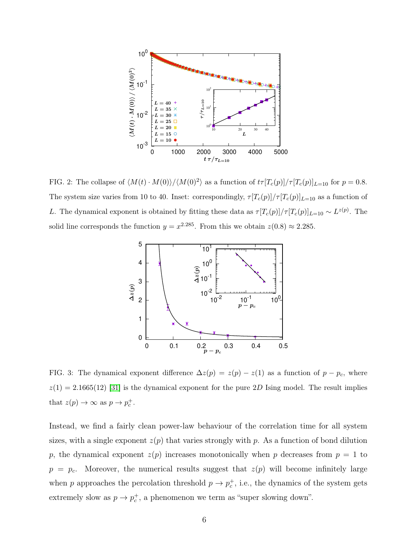

<span id="page-5-0"></span>FIG. 2: The collapse of  $\langle M(t) \cdot M(0) \rangle / \langle M(0)^2 \rangle$  as a function of  $t\tau [T_c(p)]/\tau [T_c(p)]_{L=10}$  for  $p = 0.8$ . The system size varies from 10 to 40. Inset: correspondingly,  $\tau[T_c(p)]/\tau[T_c(p)]_{L=10}$  as a function of L. The dynamical exponent is obtained by fitting these data as  $\tau[T_c(p)]/\tau[T_c(p)]_{L=10} \sim L^{z(p)}$ . The solid line corresponds the function  $y = x^{2.285}$ . From this we obtain  $z(0.8) \approx 2.285$ .



<span id="page-5-1"></span>FIG. 3: The dynamical exponent difference  $\Delta z(p) = z(p) - z(1)$  as a function of  $p - p_c$ , where  $z(1) = 2.1665(12)$  [\[31\]](#page-13-14) is the dynamical exponent for the pure 2D Ising model. The result implies that  $z(p) \to \infty$  as  $p \to p_c^+$ .

Instead, we find a fairly clean power-law behaviour of the correlation time for all system sizes, with a single exponent  $z(p)$  that varies strongly with p. As a function of bond dilution p, the dynamical exponent  $z(p)$  increases monotonically when p decreases from  $p = 1$  to  $p = p_c$ . Moreover, the numerical results suggest that  $z(p)$  will become infinitely large when p approaches the percolation threshold  $p \to p_c^+$ , i.e., the dynamics of the system gets extremely slow as  $p \to p_c^+$ , a phenomenon we term as "super slowing down".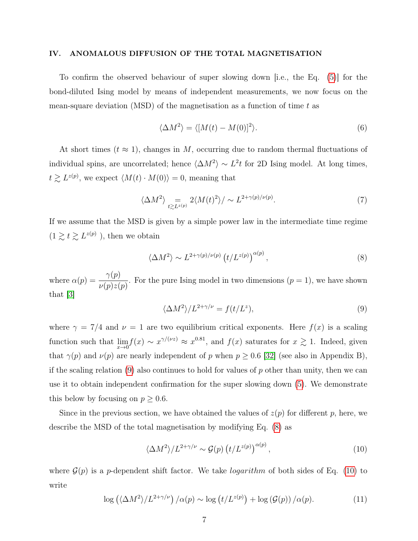## <span id="page-6-0"></span>IV. ANOMALOUS DIFFUSION OF THE TOTAL MAGNETISATION

To confirm the observed behaviour of super slowing down [i.e., the Eq. [\(5\)](#page-4-1)] for the bond-diluted Ising model by means of independent measurements, we now focus on the mean-square deviation (MSD) of the magnetisation as a function of time  $t$  as

$$
\langle \Delta M^2 \rangle = \langle [M(t) - M(0)]^2 \rangle. \tag{6}
$$

At short times  $(t \approx 1)$ , changes in M, occurring due to random thermal fluctuations of individual spins, are uncorrelated; hence  $\langle \Delta M^2 \rangle \sim L^2 t$  for 2D Ising model. At long times,  $t \gtrsim L^{z(p)}$ , we expect  $\langle M(t) \cdot M(0) \rangle = 0$ , meaning that

$$
\langle \Delta M^2 \rangle = \sum_{t \gtrsim L^{z(p)}} 2 \langle M(t)^2 \rangle / \sim L^{2 + \gamma(p)/\nu(p)}.
$$
 (7)

If we assume that the MSD is given by a simple power law in the intermediate time regime  $(1 \ge t \ge L^{z(p)})$ , then we obtain

<span id="page-6-2"></span>
$$
\langle \Delta M^2 \rangle \sim L^{2+\gamma(p)/\nu(p)} \left( t/L^{z(p)} \right)^{\alpha(p)},\tag{8}
$$

where  $\alpha(p) = \frac{\gamma(p)}{\sqrt{p}}$  $\nu(p)z(p)$ . For the pure Ising model in two dimensions  $(p = 1)$ , we have shown that [\[3\]](#page-12-2)

<span id="page-6-1"></span>
$$
\langle \Delta M^2 \rangle / L^{2 + \gamma/\nu} = f(t/L^z),\tag{9}
$$

where  $\gamma = 7/4$  and  $\nu = 1$  are two equilibrium critical exponents. Here  $f(x)$  is a scaling function such that  $\lim_{x\to 0} f(x) \sim x^{\gamma/(\nu z)} \approx x^{0.81}$ , and  $f(x)$  saturates for  $x \gtrsim 1$ . Indeed, given that  $\gamma(p)$  and  $\nu(p)$  are nearly independent of p when  $p \geq 0.6$  [\[32\]](#page-13-15) (see also in Appendix B), if the scaling relation  $(9)$  also continues to hold for values of p other than unity, then we can use it to obtain independent confirmation for the super slowing down [\(5\)](#page-4-1). We demonstrate this below by focusing on  $p \geq 0.6$ .

Since in the previous section, we have obtained the values of  $z(p)$  for different p, here, we describe the MSD of the total magnetisation by modifying Eq. [\(8\)](#page-6-2) as

<span id="page-6-3"></span>
$$
\langle \Delta M^2 \rangle / L^{2+\gamma/\nu} \sim \mathcal{G}(p) \left( t / L^{z(p)} \right)^{\alpha(p)},\tag{10}
$$

where  $\mathcal{G}(p)$  is a p-dependent shift factor. We take *logarithm* of both sides of Eq. [\(10\)](#page-6-3) to write

<span id="page-6-4"></span>
$$
\log\left(\langle \Delta M^2 \rangle / L^{2+\gamma/\nu}\right) / \alpha(p) \sim \log\left(t / L^{z(p)}\right) + \log\left(\mathcal{G}(p)\right) / \alpha(p). \tag{11}
$$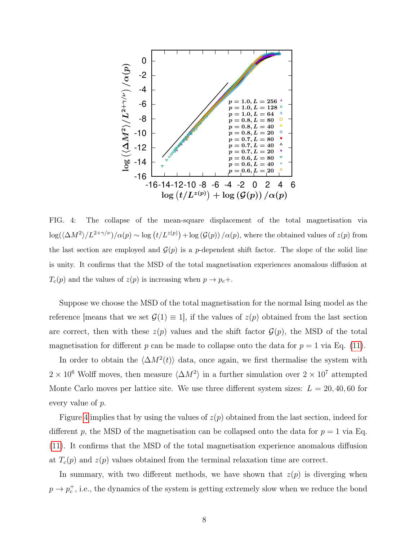

<span id="page-7-0"></span>FIG. 4: The collapse of the mean-square displacement of the total magnetisation via  $\log(\langle \Delta M^2 \rangle / L^{2+\gamma/\nu})/\alpha(p) \sim \log(t/L^{z(p)}) + \log(\mathcal{G}(p)) / \alpha(p)$ , where the obtained values of  $z(p)$  from the last section are employed and  $\mathcal{G}(p)$  is a p-dependent shift factor. The slope of the solid line is unity. It confirms that the MSD of the total magnetisation experiences anomalous diffusion at  $T_c(p)$  and the values of  $z(p)$  is increasing when  $p \to p_c +$ .

Suppose we choose the MSD of the total magnetisation for the normal Ising model as the reference |means that we set  $\mathcal{G}(1) \equiv 1$ , if the values of  $z(p)$  obtained from the last section are correct, then with these  $z(p)$  values and the shift factor  $\mathcal{G}(p)$ , the MSD of the total magnetisation for different p can be made to collapse onto the data for  $p = 1$  via Eq. [\(11\)](#page-6-4).

In order to obtain the  $\langle \Delta M^2(t) \rangle$  data, once again, we first thermalise the system with  $2 \times 10^6$  Wolff moves, then measure  $\langle \Delta M^2 \rangle$  in a further simulation over  $2 \times 10^7$  attempted Monte Carlo moves per lattice site. We use three different system sizes:  $L = 20, 40, 60$  for every value of p.

Figure [4](#page-7-0) implies that by using the values of  $z(p)$  obtained from the last section, indeed for different p, the MSD of the magnetisation can be collapsed onto the data for  $p = 1$  via Eq. [\(11\)](#page-6-4). It confirms that the MSD of the total magnetisation experience anomalous diffusion at  $T_c(p)$  and  $z(p)$  values obtained from the terminal relaxation time are correct.

In summary, with two different methods, we have shown that  $z(p)$  is diverging when  $p \to p_c^+$ , i.e., the dynamics of the system is getting extremely slow when we reduce the bond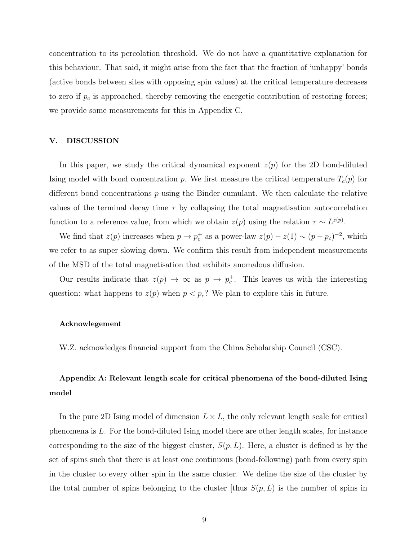concentration to its percolation threshold. We do not have a quantitative explanation for this behaviour. That said, it might arise from the fact that the fraction of 'unhappy' bonds (active bonds between sites with opposing spin values) at the critical temperature decreases to zero if  $p_c$  is approached, thereby removing the energetic contribution of restoring forces; we provide some measurements for this in Appendix C.

## V. DISCUSSION

In this paper, we study the critical dynamical exponent  $z(p)$  for the 2D bond-diluted Ising model with bond concentration p. We first measure the critical temperature  $T_c(p)$  for different bond concentrations  $p$  using the Binder cumulant. We then calculate the relative values of the terminal decay time  $\tau$  by collapsing the total magnetisation autocorrelation function to a reference value, from which we obtain  $z(p)$  using the relation  $\tau \sim L^{z(p)}$ .

We find that  $z(p)$  increases when  $p \to p_c^+$  as a power-law  $z(p) - z(1) \sim (p - p_c)^{-2}$ , which we refer to as super slowing down. We confirm this result from independent measurements of the MSD of the total magnetisation that exhibits anomalous diffusion.

Our results indicate that  $z(p) \to \infty$  as  $p \to p_c^+$ . This leaves us with the interesting question: what happens to  $z(p)$  when  $p < p_c$ ? We plan to explore this in future.

#### <span id="page-8-0"></span>Acknowlegement

W.Z. acknowledges financial support from the China Scholarship Council (CSC).

# Appendix A: Relevant length scale for critical phenomena of the bond-diluted Ising model

In the pure 2D Ising model of dimension  $L \times L$ , the only relevant length scale for critical phenomena is L. For the bond-diluted Ising model there are other length scales, for instance corresponding to the size of the biggest cluster,  $S(p, L)$ . Here, a cluster is defined is by the set of spins such that there is at least one continuous (bond-following) path from every spin in the cluster to every other spin in the same cluster. We define the size of the cluster by the total number of spins belonging to the cluster [thus  $S(p, L)$  is the number of spins in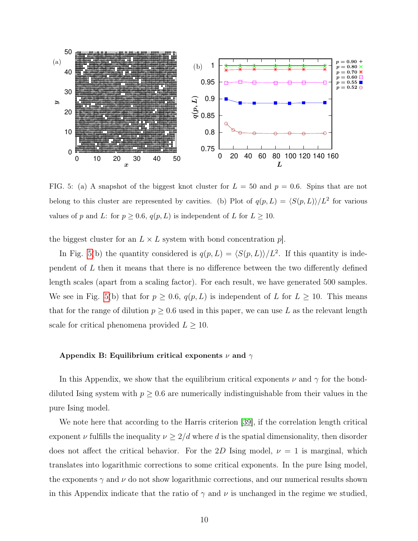

<span id="page-9-0"></span>FIG. 5: (a) A snapshot of the biggest knot cluster for  $L = 50$  and  $p = 0.6$ . Spins that are not belong to this cluster are represented by cavities. (b) Plot of  $q(p, L) = \langle S(p, L) \rangle / L^2$  for various values of p and L: for  $p \ge 0.6$ ,  $q(p, L)$  is independent of L for  $L \ge 10$ .

the biggest cluster for an  $L \times L$  system with bond concentration  $p$ .

In Fig. [5\(](#page-9-0)b) the quantity considered is  $q(p, L) = \langle S(p, L) \rangle / L^2$ . If this quantity is independent of  $L$  then it means that there is no difference between the two differently defined length scales (apart from a scaling factor). For each result, we have generated 500 samples. We see in Fig. [5\(](#page-9-0)b) that for  $p \ge 0.6$ ,  $q(p, L)$  is independent of L for  $L \ge 10$ . This means that for the range of dilution  $p \geq 0.6$  used in this paper, we can use L as the relevant length scale for critical phenomena provided  $L \geq 10$ .

#### Appendix B: Equilibrium critical exponents  $\nu$  and  $\gamma$

In this Appendix, we show that the equilibrium critical exponents  $\nu$  and  $\gamma$  for the bonddiluted Ising system with  $p \geq 0.6$  are numerically indistinguishable from their values in the pure Ising model.

We note here that according to the Harris criterion [\[39\]](#page-14-5), if the correlation length critical exponent  $\nu$  fulfills the inequality  $\nu \geq 2/d$  where d is the spatial dimensionality, then disorder does not affect the critical behavior. For the 2D Ising model,  $\nu = 1$  is marginal, which translates into logarithmic corrections to some critical exponents. In the pure Ising model, the exponents  $\gamma$  and  $\nu$  do not show logarithmic corrections, and our numerical results shown in this Appendix indicate that the ratio of  $\gamma$  and  $\nu$  is unchanged in the regime we studied,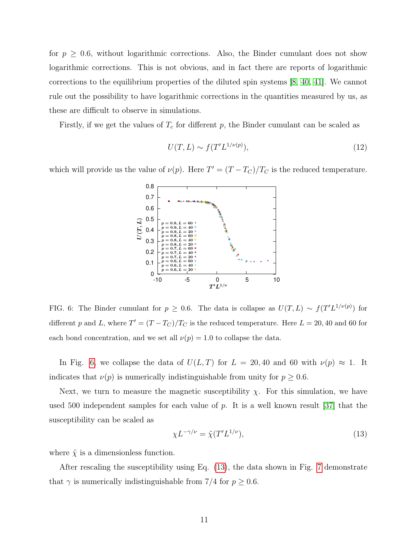for  $p \geq 0.6$ , without logarithmic corrections. Also, the Binder cumulant does not show logarithmic corrections. This is not obvious, and in fact there are reports of logarithmic corrections to the equilibrium properties of the diluted spin systems [\[8,](#page-13-1) [40,](#page-14-6) [41\]](#page-14-7). We cannot rule out the possibility to have logarithmic corrections in the quantities measured by us, as these are difficult to observe in simulations.

Firstly, if we get the values of  $T_c$  for different p, the Binder cumulant can be scaled as

$$
U(T, L) \sim f(T'L^{1/\nu(p)}),\tag{12}
$$

which will provide us the value of  $\nu(p)$ . Here  $T' = (T - T_C)/T_C$  is the reduced temperature.



<span id="page-10-0"></span>FIG. 6: The Binder cumulant for  $p \geq 0.6$ . The data is collapse as  $U(T, L) \sim f(T'L^{1/\nu(p)})$  for different p and L, where  $T' = (T - T_C)/T_C$  is the reduced temperature. Here  $L = 20, 40$  and 60 for each bond concentration, and we set all  $\nu(p) = 1.0$  to collapse the data.

In Fig. [6,](#page-10-0) we collapse the data of  $U(L, T)$  for  $L = 20, 40$  and 60 with  $\nu(p) \approx 1$ . It indicates that  $\nu(p)$  is numerically indistinguishable from unity for  $p \geq 0.6$ .

Next, we turn to measure the magnetic susceptibility  $\chi$ . For this simulation, we have used 500 independent samples for each value of  $p$ . It is a well known result [\[37\]](#page-14-3) that the susceptibility can be scaled as

<span id="page-10-1"></span>
$$
\chi L^{-\gamma/\nu} = \tilde{\chi}(T'L^{1/\nu}),\tag{13}
$$

where  $\tilde{\chi}$  is a dimensionless function.

After rescaling the susceptibility using Eq. [\(13\)](#page-10-1), the data shown in Fig. [7](#page-11-0) demonstrate that  $\gamma$  is numerically indistinguishable from 7/4 for  $p \geq 0.6$ .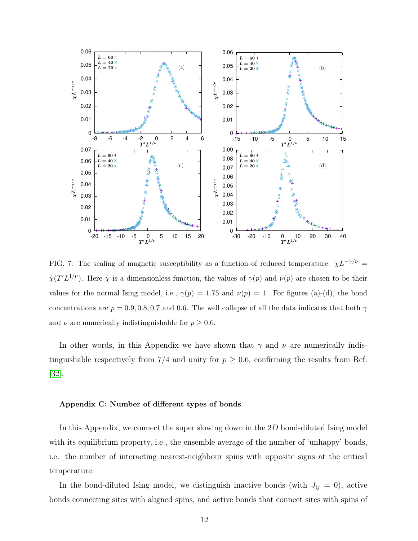

<span id="page-11-0"></span>FIG. 7: The scaling of magnetic susceptibility as a function of reduced temperature:  $\chi L^{-\gamma/\nu}$  =  $\tilde{\chi}(T'L^{1/\nu})$ . Here  $\tilde{\chi}$  is a dimensionless function, the values of  $\gamma(p)$  and  $\nu(p)$  are chosen to be their values for the normal Ising model, i.e.,  $\gamma(p) = 1.75$  and  $\nu(p) = 1$ . For figures (a)-(d), the bond concentrations are  $p = 0.9, 0.8, 0.7$  and 0.6. The well collapse of all the data indicates that both  $\gamma$ and  $\nu$  are numerically indistinguishable for  $p \geq 0.6$ .

In other words, in this Appendix we have shown that  $\gamma$  and  $\nu$  are numerically indistinguishable respectively from 7/4 and unity for  $p \ge 0.6$ , confirming the results from Ref. [\[32\]](#page-13-15).

#### Appendix C: Number of different types of bonds

In this Appendix, we connect the super slowing down in the 2D bond-diluted Ising model with its equilibrium property, i.e., the ensemble average of the number of 'unhappy' bonds, i.e. the number of interacting nearest-neighbour spins with opposite signs at the critical temperature.

In the bond-diluted Ising model, we distinguish inactive bonds (with  $J_{ij} = 0$ ), active bonds connecting sites with aligned spins, and active bonds that connect sites with spins of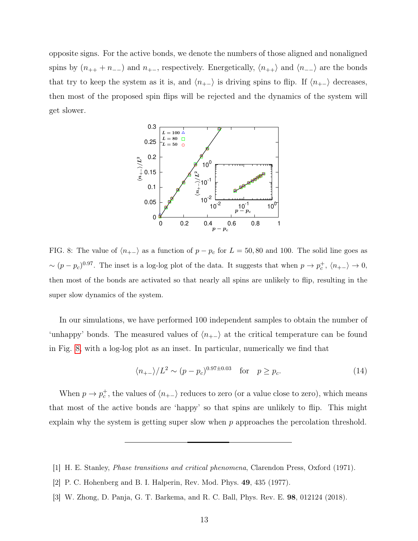opposite signs. For the active bonds, we denote the numbers of those aligned and nonaligned spins by  $(n_{++} + n_{--})$  and  $n_{+-}$ , respectively. Energetically,  $\langle n_{++} \rangle$  and  $\langle n_{--} \rangle$  are the bonds that try to keep the system as it is, and  $\langle n_{+-} \rangle$  is driving spins to flip. If  $\langle n_{+-} \rangle$  decreases, then most of the proposed spin flips will be rejected and the dynamics of the system will get slower.



<span id="page-12-3"></span>FIG. 8: The value of  $\langle n_{+-} \rangle$  as a function of  $p - p_c$  for  $L = 50, 80$  and 100. The solid line goes as  $\sim (p-p_c)^{0.97}$ . The inset is a log-log plot of the data. It suggests that when  $p \to p_c^+$ ,  $\langle n_{+-} \rangle \to 0$ , then most of the bonds are activated so that nearly all spins are unlikely to flip, resulting in the super slow dynamics of the system.

In our simulations, we have performed 100 independent samples to obtain the number of 'unhappy' bonds. The measured values of  $\langle n_{+-} \rangle$  at the critical temperature can be found in Fig. [8,](#page-12-3) with a log-log plot as an inset. In particular, numerically we find that

$$
\langle n_{+-} \rangle / L^2 \sim (p - p_c)^{0.97 \pm 0.03} \quad \text{for} \quad p \ge p_c. \tag{14}
$$

When  $p \to p_c^+$ , the values of  $\langle n_{+-} \rangle$  reduces to zero (or a value close to zero), which means that most of the active bonds are 'happy' so that spins are unlikely to flip. This might explain why the system is getting super slow when p approaches the percolation threshold.

- <span id="page-12-1"></span><span id="page-12-0"></span>[1] H. E. Stanley, Phase transitions and critical phenomena, Clarendon Press, Oxford (1971).
- <span id="page-12-2"></span>[2] P. C. Hohenberg and B. I. Halperin, Rev. Mod. Phys. 49, 435 (1977).
- [3] W. Zhong, D. Panja, G. T. Barkema, and R. C. Ball, Phys. Rev. E. 98, 012124 (2018).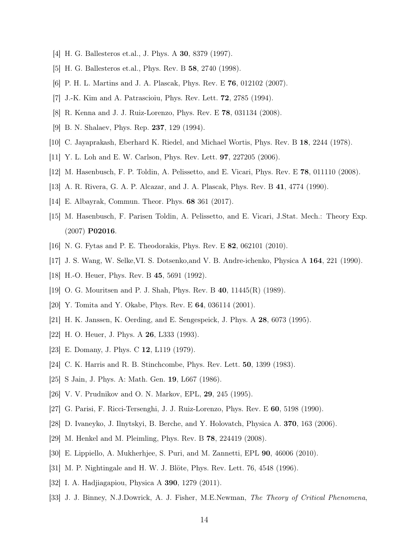- <span id="page-13-0"></span>[4] H. G. Ballesteros et.al., J. Phys. A 30, 8379 (1997).
- [5] H. G. Ballesteros et.al., Phys. Rev. B 58, 2740 (1998).
- [6] P. H. L. Martins and J. A. Plascak, Phys. Rev. E 76, 012102 (2007).
- <span id="page-13-1"></span>[7] J.-K. Kim and A. Patrascioiu, Phys. Rev. Lett. 72, 2785 (1994).
- <span id="page-13-2"></span>[8] R. Kenna and J. J. Ruiz-Lorenzo, Phys. Rev. E 78, 031134 (2008).
- [9] B. N. Shalaev, Phys. Rep. 237, 129 (1994).
- [10] C. Jayaprakash, Eberhard K. Riedel, and Michael Wortis, Phys. Rev. B 18, 2244 (1978).
- [11] Y. L. Loh and E. W. Carlson, Phys. Rev. Lett. 97, 227205 (2006).
- <span id="page-13-3"></span>[12] M. Hasenbusch, F. P. Toldin, A. Pelissetto, and E. Vicari, Phys. Rev. E 78, 011110 (2008).
- <span id="page-13-4"></span>[13] A. R. Rivera, G. A. P. Alcazar, and J. A. Plascak, Phys. Rev. B 41, 4774 (1990).
- <span id="page-13-5"></span>[14] E. Albayrak, Commun. Theor. Phys. 68 361 (2017).
- [15] M. Hasenbusch, F. Parisen Toldin, A. Pelissetto, and E. Vicari, J.Stat. Mech.: Theory Exp. (2007) P02016.
- <span id="page-13-7"></span><span id="page-13-6"></span>[16] N. G. Fytas and P. E. Theodorakis, Phys. Rev. E 82, 062101 (2010).
- <span id="page-13-8"></span>[17] J. S. Wang, W. Selke,VI. S. Dotsenko,and V. B. Andre-ichenko, Physica A 164, 221 (1990).
- [18] H.-O. Heuer, Phys. Rev. B 45, 5691 (1992).
- [19] O. G. Mouritsen and P. J. Shah, Phys. Rev. B 40, 11445(R) (1989).
- [20] Y. Tomita and Y. Okabe, Phys. Rev. E 64, 036114 (2001).
- [21] H. K. Janssen, K. Oerding, and E. Sengespeick, J. Phys. A 28, 6073 (1995).
- <span id="page-13-9"></span>[22] H. O. Heuer, J. Phys. A 26, L333 (1993).
- <span id="page-13-10"></span>[23] E. Domany, J. Phys. C 12, L119 (1979).
- <span id="page-13-11"></span>[24] C. K. Harris and R. B. Stinchcombe, Phys. Rev. Lett. **50**, 1399 (1983).
- <span id="page-13-12"></span>[25] S Jain, J. Phys. A: Math. Gen. 19, L667 (1986).
- [26] V. V. Prudnikov and O. N. Markov, EPL, 29, 245 (1995).
- [27] G. Parisi, F. Ricci-Tersenghi, J. J. Ruiz-Lorenzo, Phys. Rev. E 60, 5198 (1990).
- [28] D. Ivaneyko, J. Ilnytskyi, B. Berche, and Y. Holovatch, Physica A. 370, 163 (2006).
- <span id="page-13-13"></span>[29] M. Henkel and M. Pleimling, Phys. Rev. B 78, 224419 (2008).
- <span id="page-13-14"></span>[30] E. Lippiello, A. Mukherhjee, S. Puri, and M. Zannetti, EPL 90, 46006 (2010).
- <span id="page-13-15"></span>[31] M. P. Nightingale and H. W. J. Blöte, Phys. Rev. Lett. 76, 4548 (1996).
- <span id="page-13-16"></span>[32] I. A. Hadjiagapiou, Physica A 390, 1279 (2011).
- [33] J. J. Binney, N.J.Dowrick, A. J. Fisher, M.E.Newman, The Theory of Critical Phenomena,